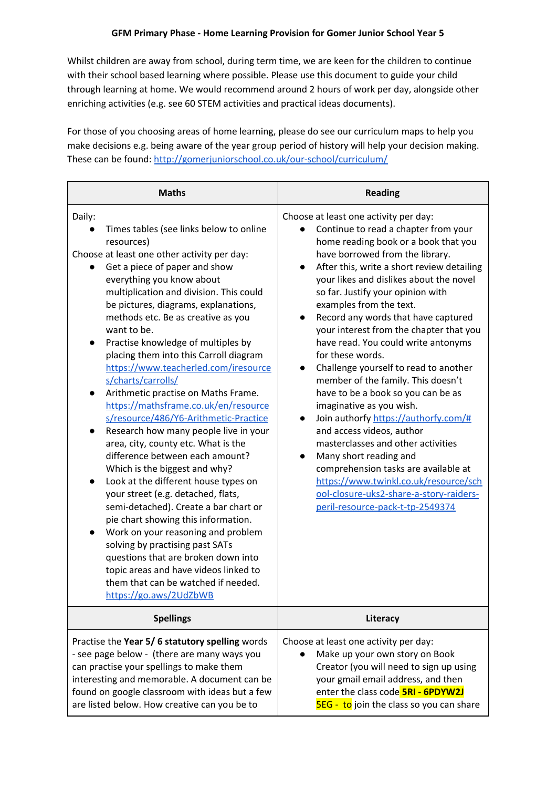Whilst children are away from school, during term time, we are keen for the children to continue with their school based learning where possible. Please use this document to guide your child through learning at home. We would recommend around 2 hours of work per day, alongside other enriching activities (e.g. see 60 STEM activities and practical ideas documents).

For those of you choosing areas of home learning, please do see our curriculum maps to help you make decisions e.g. being aware of the year group period of history will help your decision making. These can be found: <http://gomerjuniorschool.co.uk/our-school/curriculum/>

| <b>Maths</b>                                                                                                                                                                                                                                                                                                                                                                                                                                                                                                                                                                                                                                                                                                                                                                                                                                                                                                                                                                                                                                                                                                                                                     | <b>Reading</b>                                                                                                                                                                                                                                                                                                                                                                                                                                                                                                                                                                                                                                                                                                                                                                                                                                                                                                                                                                        |  |
|------------------------------------------------------------------------------------------------------------------------------------------------------------------------------------------------------------------------------------------------------------------------------------------------------------------------------------------------------------------------------------------------------------------------------------------------------------------------------------------------------------------------------------------------------------------------------------------------------------------------------------------------------------------------------------------------------------------------------------------------------------------------------------------------------------------------------------------------------------------------------------------------------------------------------------------------------------------------------------------------------------------------------------------------------------------------------------------------------------------------------------------------------------------|---------------------------------------------------------------------------------------------------------------------------------------------------------------------------------------------------------------------------------------------------------------------------------------------------------------------------------------------------------------------------------------------------------------------------------------------------------------------------------------------------------------------------------------------------------------------------------------------------------------------------------------------------------------------------------------------------------------------------------------------------------------------------------------------------------------------------------------------------------------------------------------------------------------------------------------------------------------------------------------|--|
| Daily:<br>Times tables (see links below to online<br>resources)<br>Choose at least one other activity per day:<br>Get a piece of paper and show<br>everything you know about<br>multiplication and division. This could<br>be pictures, diagrams, explanations,<br>methods etc. Be as creative as you<br>want to be.<br>Practise knowledge of multiples by<br>placing them into this Carroll diagram<br>https://www.teacherled.com/iresource<br>s/charts/carrolls/<br>Arithmetic practise on Maths Frame.<br>$\bullet$<br>https://mathsframe.co.uk/en/resource<br>s/resource/486/Y6-Arithmetic-Practice<br>Research how many people live in your<br>$\bullet$<br>area, city, county etc. What is the<br>difference between each amount?<br>Which is the biggest and why?<br>Look at the different house types on<br>your street (e.g. detached, flats,<br>semi-detached). Create a bar chart or<br>pie chart showing this information.<br>Work on your reasoning and problem<br>solving by practising past SATs<br>questions that are broken down into<br>topic areas and have videos linked to<br>them that can be watched if needed.<br>https://go.aws/2UdZbWB | Choose at least one activity per day:<br>Continue to read a chapter from your<br>home reading book or a book that you<br>have borrowed from the library.<br>After this, write a short review detailing<br>$\bullet$<br>your likes and dislikes about the novel<br>so far. Justify your opinion with<br>examples from the text.<br>Record any words that have captured<br>$\bullet$<br>your interest from the chapter that you<br>have read. You could write antonyms<br>for these words.<br>Challenge yourself to read to another<br>$\bullet$<br>member of the family. This doesn't<br>have to be a book so you can be as<br>imaginative as you wish.<br>Join authorfy https://authorfy.com/#<br>$\bullet$<br>and access videos, author<br>masterclasses and other activities<br>Many short reading and<br>$\bullet$<br>comprehension tasks are available at<br>https://www.twinkl.co.uk/resource/sch<br>ool-closure-uks2-share-a-story-raiders-<br>peril-resource-pack-t-tp-2549374 |  |
| <b>Spellings</b>                                                                                                                                                                                                                                                                                                                                                                                                                                                                                                                                                                                                                                                                                                                                                                                                                                                                                                                                                                                                                                                                                                                                                 | Literacy                                                                                                                                                                                                                                                                                                                                                                                                                                                                                                                                                                                                                                                                                                                                                                                                                                                                                                                                                                              |  |
| Practise the Year 5/6 statutory spelling words<br>- see page below - (there are many ways you<br>can practise your spellings to make them<br>interesting and memorable. A document can be<br>found on google classroom with ideas but a few<br>are listed below. How creative can you be to                                                                                                                                                                                                                                                                                                                                                                                                                                                                                                                                                                                                                                                                                                                                                                                                                                                                      | Choose at least one activity per day:<br>Make up your own story on Book<br>Creator (you will need to sign up using<br>your gmail email address, and then<br>enter the class code <b>5RI - 6PDYW2J</b><br>5EG - to join the class so you can share                                                                                                                                                                                                                                                                                                                                                                                                                                                                                                                                                                                                                                                                                                                                     |  |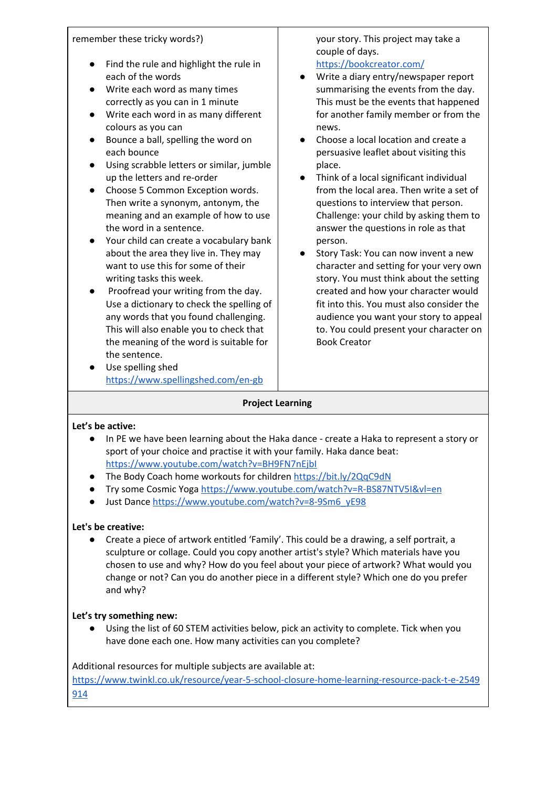| remember these tricky words?)<br>Find the rule and highlight the rule in<br>each of the words<br>Write each word as many times<br>correctly as you can in 1 minute<br>Write each word in as many different<br>colours as you can<br>Bounce a ball, spelling the word on<br>each bounce<br>Using scrabble letters or similar, jumble<br>up the letters and re-order<br>Choose 5 Common Exception words.<br>$\bullet$<br>Then write a synonym, antonym, the<br>meaning and an example of how to use<br>the word in a sentence.<br>Your child can create a vocabulary bank<br>about the area they live in. They may<br>want to use this for some of their<br>writing tasks this week.<br>Proofread your writing from the day.<br>Use a dictionary to check the spelling of<br>any words that you found challenging.<br>This will also enable you to check that<br>the meaning of the word is suitable for<br>the sentence.<br>Use spelling shed<br>https://www.spellingshed.com/en-gb | your story. This project may take a<br>couple of days.<br>https://bookcreator.com/<br>Write a diary entry/newspaper report<br>summarising the events from the day.<br>This must be the events that happened<br>for another family member or from the<br>news.<br>Choose a local location and create a<br>persuasive leaflet about visiting this<br>place.<br>Think of a local significant individual<br>from the local area. Then write a set of<br>questions to interview that person.<br>Challenge: your child by asking them to<br>answer the questions in role as that<br>person.<br>Story Task: You can now invent a new<br>character and setting for your very own<br>story. You must think about the setting<br>created and how your character would<br>fit into this. You must also consider the<br>audience you want your story to appeal<br>to. You could present your character on<br><b>Book Creator</b> |
|------------------------------------------------------------------------------------------------------------------------------------------------------------------------------------------------------------------------------------------------------------------------------------------------------------------------------------------------------------------------------------------------------------------------------------------------------------------------------------------------------------------------------------------------------------------------------------------------------------------------------------------------------------------------------------------------------------------------------------------------------------------------------------------------------------------------------------------------------------------------------------------------------------------------------------------------------------------------------------|----------------------------------------------------------------------------------------------------------------------------------------------------------------------------------------------------------------------------------------------------------------------------------------------------------------------------------------------------------------------------------------------------------------------------------------------------------------------------------------------------------------------------------------------------------------------------------------------------------------------------------------------------------------------------------------------------------------------------------------------------------------------------------------------------------------------------------------------------------------------------------------------------------------------|
|                                                                                                                                                                                                                                                                                                                                                                                                                                                                                                                                                                                                                                                                                                                                                                                                                                                                                                                                                                                    |                                                                                                                                                                                                                                                                                                                                                                                                                                                                                                                                                                                                                                                                                                                                                                                                                                                                                                                      |

#### **Project Learning**

#### **Let's be active:**

- **●** In PE we have been learning about the Haka dance create a Haka to represent a story or sport of your choice and practise it with your family. Haka dance beat: <https://www.youtube.com/watch?v=BH9FN7nEjbI>
- **•** The Body Coach home workouts for children <https://bit.ly/2QqC9dN>
- Try some Cosmic Yoga <https://www.youtube.com/watch?v=R-BS87NTV5I&vl=en>
- Just Dance [https://www.youtube.com/watch?v=8-9Sm6\\_yE98](https://www.youtube.com/watch?v=8-9Sm6_yE98)

## **Let's be creative:**

● Create a piece of artwork entitled 'Family'. This could be a drawing, a self portrait, a sculpture or collage. Could you copy another artist's style? Which materials have you chosen to use and why? How do you feel about your piece of artwork? What would you change or not? Can you do another piece in a different style? Which one do you prefer and why?

## **Let's try something new:**

● Using the list of 60 STEM activities below, pick an activity to complete. Tick when you have done each one. How many activities can you complete?

Additional resources for multiple subjects are available at:

[https://www.twinkl.co.uk/resource/year-5-school-closure-home-learning-resource-pack-t-e-2549](https://www.twinkl.co.uk/resource/year-5-school-closure-home-learning-resource-pack-t-e-2549914) [914](https://www.twinkl.co.uk/resource/year-5-school-closure-home-learning-resource-pack-t-e-2549914)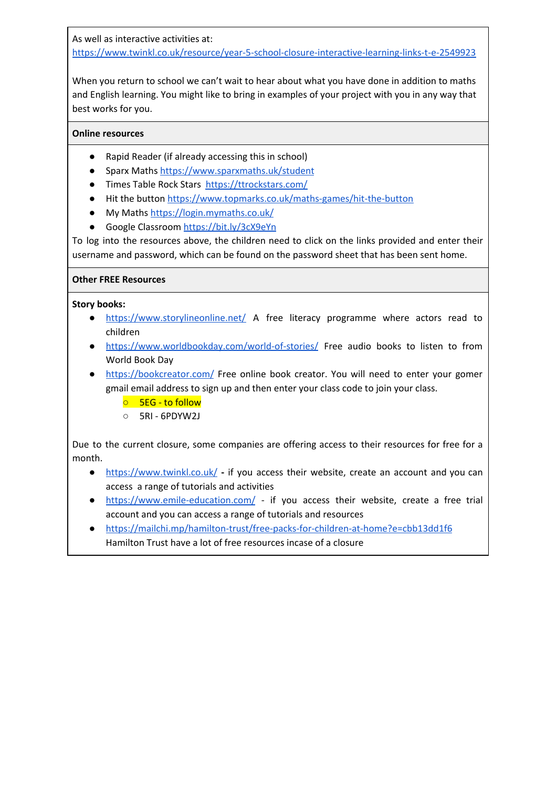As well as interactive activities at:

<https://www.twinkl.co.uk/resource/year-5-school-closure-interactive-learning-links-t-e-2549923>

When you return to school we can't wait to hear about what you have done in addition to maths and English learning. You might like to bring in examples of your project with you in any way that best works for you.

# **Online resources**

- Rapid Reader (if already accessing this in school)
- Sparx Maths <https://www.sparxmaths.uk/student>
- Times Table Rock Stars <https://ttrockstars.com/>
- Hit the button <https://www.topmarks.co.uk/maths-games/hit-the-button>
- My Maths <https://login.mymaths.co.uk/>
- Google Classroom <https://bit.ly/3cX9eYn>

To log into the resources above, the children need to click on the links provided and enter their username and password, which can be found on the password sheet that has been sent home.

## **Other FREE Resources**

#### **Story books:**

- <https://www.storylineonline.net/> A free literacy programme where actors read to children
- <https://www.worldbookday.com/world-of-stories/> Free audio books to listen to from World Book Day
- <https://bookcreator.com/> Free online book creator. You will need to enter your gomer gmail email address to sign up and then enter your class code to join your class.
	- 5EG to follow
	- 5RI 6PDYW2J

Due to the current closure, some companies are offering access to their resources for free for a month.

- **●** <https://www.twinkl.co.uk/> **-** if you access their website, create an account and you can access a range of tutorials and activities
- <https://www.emile-education.com/> if you access their website, create a free trial account and you can access a range of tutorials and resources
- <https://mailchi.mp/hamilton-trust/free-packs-for-children-at-home?e=cbb13dd1f6> Hamilton Trust have a lot of free resources incase of a closure